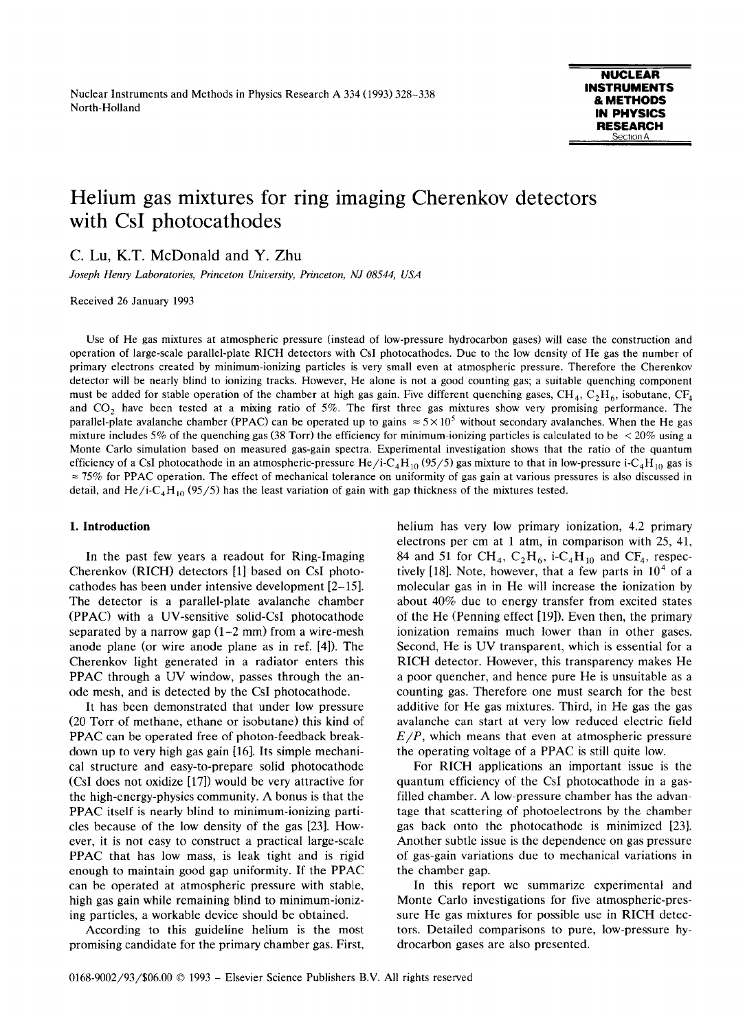# Helium gas mixtures for ring imaging Cherenkov detectors with Csl photocathodes

C. Lu, K.T. McDonald and Y. Zhu

Joseph Henry Laboratories, Princeton University, Princeton, NJ 08544, USA

Received 26 January 1993

Use of He gas mixtures at atmospheric pressure (instead of low-pressure hydrocarbon gases) will ease the construction and operation of large-scale parallel-plate RICH detectors with CsI photocathodes. Due to the low density of He gas the number of primary electrons created by minimum-ionizing particles is very small even at atmospheric pressure . Therefore the Cherenkov detector will be nearly blind to ionizing tracks . However, He alone is not a good counting gas; <sup>a</sup> suitable quenching component must be added for stable operation of the chamber at high gas gain. Five different quenching gases, CH<sub>4</sub>, C<sub>2</sub>H<sub>6</sub>, isobutane, CF<sub>4</sub> and  $CO<sub>2</sub>$  have been tested at a mixing ratio of 5%. The first three gas mixtures show very promising performance. The parallel-plate avalanche chamber (PPAC) can be operated up to gains  $\approx 5 \times 10^5$  without secondary avalanches. When the He gas mixture includes 5% of the quenching gas (38 Torr) the efficiency for minimum-ionizing particles is calculated to be  $\lt 20\%$  using a Monte Carlo simulation based on measured gas-gain spectra. Experimental investigation shows that the ratio of the quantum efficiency of a CsI photocathode in an atmospheric-pressure He/i-C<sub>4</sub>H<sub>10</sub> (95/5) gas mixture to that in low-pressure i-C<sub>4</sub>H<sub>10</sub> gas is  $\approx$  75% for PPAC operation. The effect of mechanical tolerance on uniformity of gas gain at various pressures is also discussed in detail, and He/i-C<sub>4</sub>H<sub>10</sub> (95/5) has the least variation of gain with gap thickness of the mixtures tested.

## 1. Introduction

In the past few years a readout for Ring-Imaging Cherenkov (RICH) detectors [1] based on CsI photocathodes has been under intensive development [2-15] . The detector is a parallel-plate avalanche chamber (PPAC) with a UV-sensitive solid-CsI photocathode separated by a narrow gap  $(1-2 \text{ mm})$  from a wire-mesh anode plane (or wire anode plane as in ref. [4]). The Cherenkov light generated in a radiator enters this PPAC through a UV window, passes through the anode mesh, and is detected by the CsI photocathode.

It has been demonstrated that under low pressure (20 Torr of methane, ethane or isobutane) this kind of PPAC can be operated free of photon-feedback breakdown up to very high gas gain [16] . Its simple mechanical structure and easy-to-prepare solid photocathode (CsI does not oxidize [17]) would be very attractive for the high-energy-physics community. A bonus is that the PPAC itself is nearly blind to minimum-ionizing particles because of the low density of the gas [23] . However, it is not easy to construct a practical large-scale PPAC that has low mass, is leak tight and is rigid enough to maintain good gap uniformity. If the PPAC can be operated at atmospheric pressure with stable, high gas gain while remaining blind to minimum-ionizing particles, a workable device should be obtained.

According to this guideline helium is the most promising candidate for the primary chamber gas. First, helium has very low primary ionization, 4.2 primary electrons per cm at <sup>1</sup> atm, in comparison with 25, 41, 84 and 51 for CH<sub>4</sub>,  $C_2H_6$ , i-C<sub>4</sub>H<sub>10</sub> and CF<sub>4</sub>, respectively [18]. Note, however, that a few parts in  $10<sup>4</sup>$  of a molecular gas in in He will increase the ionization by about 40% due to energy transfer from excited states of the He (Penning effect [19]). Even then, the primary ionization remains much lower than in other gases. Second, He is UV transparent, which is essential for <sup>a</sup> RICH detector. However, this transparency makes He a poor quencher, and hence pure He is unsuitable as a counting gas. Therefore one must search for the best additive for He gas mixtures. Third, in He gas the gas avalanche can start at very low reduced electric field  $E/P$ , which means that even at atmospheric pressure the operating voltage of a PPAC is still quite low.

For RICH applications an important issue is the quantum efficiency of the CsI photocathode in <sup>a</sup> gasfilled chamber. A low-pressure chamber has the advantage that scattering of photoelectrons by the chamber gas back onto the photocathode is minimized [23]. Another subtle issue is the dependence on gas pressure of gas-gain variations due to mechanical variations in the chamber gap.

In this report we summarize experimental and Monte Carlo investigations for five atmospheric-pressure He gas mixtures for possible use in RICH detectors. Detailed comparisons to pure, low-pressure hydrocarbon gases are also presented.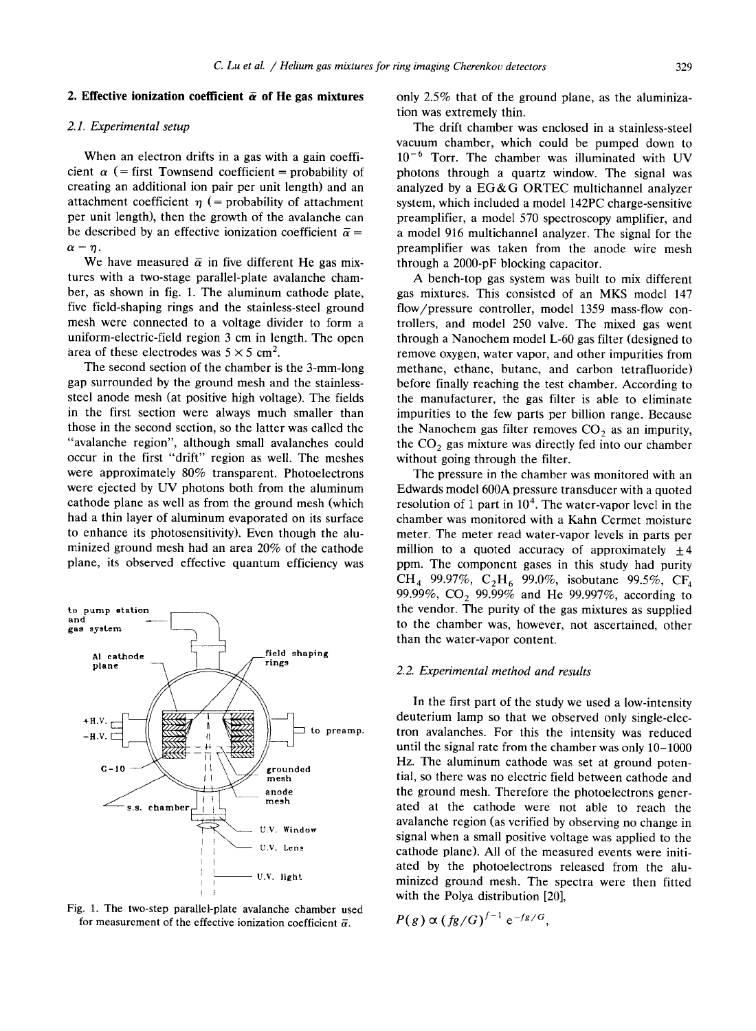#### 2. Effective ionization coefficient  $\bar{\alpha}$  of He gas mixtures

## 2.1. Experimental setup

When an electron drifts in a gas with a gain coefficient  $\alpha$  (= first Townsend coefficient = probability of creating an additional ion pair per unit length) and an attachment coefficient  $\eta$  (= probability of attachment per unit length), then the growth of the avalanche can be described by an effective ionization coefficient  $\bar{\alpha}$  =  $\alpha-\eta$ .

We have measured  $\bar{\alpha}$  in five different He gas mixtures with a two-stage parallel-plate avalanche chamber, as shown in fig. 1. The aluminum cathode plate, five field-shaping rings and the stainless-steel ground mesh were connected to a voltage divider to form a uniform-electric-field region 3 cm in length. The open area of these electrodes was  $5 \times 5$  cm<sup>2</sup>.

The second section of the chamber is the 3-mm-long gap surrounded by the ground mesh and the stainlesssteel anode mesh (at positive high voltage). The fields in the first section were always much smaller than those in the second section, so the latter was called the "avalanche region", although small avalanches could occur in the first "drift" region as well. The meshes were approximately 80% transparent. Photoelectrons were ejected by UV photons both from the aluminum cathode plane as well as from the ground mesh (which had a thin layer of aluminum evaporated on its surface to enhance its photosensitivity). Even though the aluminized ground mesh had an area 20% of the cathode plane, its observed effective quantum efficiency was



Fig. 1. The two-step parallel-plate avalanche chamber used for measurement of the effective ionization coefficient  $\bar{\alpha}$ .

only 2.5% that of the ground plane, as the aluminization was extremely thin.

The drift chamber was enclosed in a stainless-steel vacuum chamber, which could be pumped down to  $10^{-6}$  Torr. The chamber was illuminated with UV photons through a quartz window. The signal was analyzed by <sup>a</sup> EG&G ORTEC multichannel analyzer system, which included a model 142PC charge-sensitive preamplifier, a model 570 spectroscopy amplifier, and a model 916 multichannel analyzer. The signal for the preamplifier was taken from the anode wire mesh through a 2000-pF blocking capacitor.

A bench-top gas system was built to mix different gas mixtures. This consisted of an MKS model 147 flow/pressure controller, model 1359 mass-flow controllers, and model 250 valve. The mixed gas went through a Nanochem model L-60 gas filter (designed to remove oxygen, water vapor, and other impurities from methane, ethane, butane, and carbon tetrafluoride) before finally reaching the test chamber. According to the manufacturer, the gas filter is able to eliminate impurities to the few parts per billion range. Because the Nanochem gas filter removes  $CO<sub>2</sub>$  as an impurity, the  $CO<sub>2</sub>$  gas mixture was directly fed into our chamber without going through the filter.

The pressure in the chamber was monitored with an Edwards model 600A pressure transducer with a quoted resolution of 1 part in  $10<sup>4</sup>$ . The water-vapor level in the chamber was monitored with a Kahn Cermet moisture meter. The meter read water-vapor levels in parts per million to a quoted accuracy of approximately  $\pm 4$ ppm. The component gases in this study had purity CH<sub>4</sub> 99.97%, C<sub>2</sub>H<sub>6</sub> 99.0%, isobutane 99.5%, CF<sub>4</sub> 99.99%, CO<sub>2</sub> 99.99% and He 99.997%, according to the vendor. The purity of the gas mixtures as supplied to the chamber was, however, not ascertained, other than the water-vapor content.

## 2.2. Experimental method and results

In the first part of the study we used a low-intensity deuterium lamp so that we observed only single-electron avalanches . For this the intensity was reduced until the signal rate from the chamber was only 10-1000 Hz. The aluminum cathode was set at ground potential, so there was no electric field between cathode and the ground mesh. Therefore the photoelectrons generated at the cathode were not able to reach the avalanche region (as verified by observing no change in signal when a small positive voltage was applied to the cathode plane). All of the measured events were initiated by the photoelectrons released from the aluminized ground mesh. The spectra were then fitted with the Polya distribution [20],

$$
P(g) \propto (fg/G)^{f-1} e^{-fg/G},
$$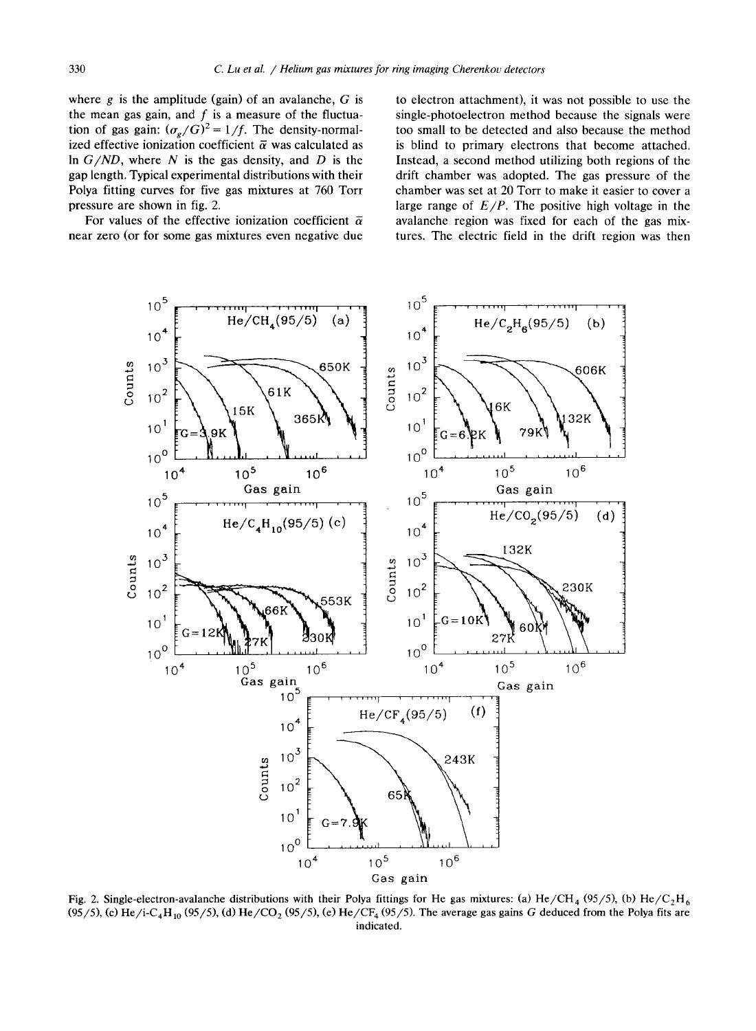where  $g$  is the amplitude (gain) of an avalanche,  $G$  is the mean gas gain, and  $f$  is a measure of the fluctuation of gas gain:  $(\sigma_{\rm g}/G)^2 = 1/f$ . The density-normalized effective ionization coefficient  $\overline{\alpha}$  was calculated as In  $G/ND$ , where N is the gas density, and D is the gap length. Typical experimental distributions with their Polya fitting curves for five gas mixtures at 760 Torr pressure are shown in fig. 2.

For values of the effective ionization coefficient  $\bar{\alpha}$ near zero (or for some gas mixtures even negative due

to electron attachment), it was not possible to use the single-photoelectron method because the signals were too small to be detected and also because the method is blind to primary electrons that become attached. Instead, a second method utilizing both regions of the drift chamber was adopted. The gas pressure of the chamber was set at 20 Torr to make it easier to cover a large range of  $E/P$ . The positive high voltage in the avalanche region was fixed for each of the gas mixtures. The electric field in the drift region was then



Fig. 2. Single-electron-avalanche distributions with their Polya fittings for He gas mixtures: (a) He/CH<sub>4</sub> (95/5), (b) He/C<sub>2</sub>H<sub>6</sub> (95/5), (c) He/i-C<sub>4</sub>H<sub>10</sub> (95/5), (d) He/CO<sub>2</sub> (95/5), (e) He/CF<sub>4</sub> (95/5). The average gas gains G deduced from the Polya fits are indicated.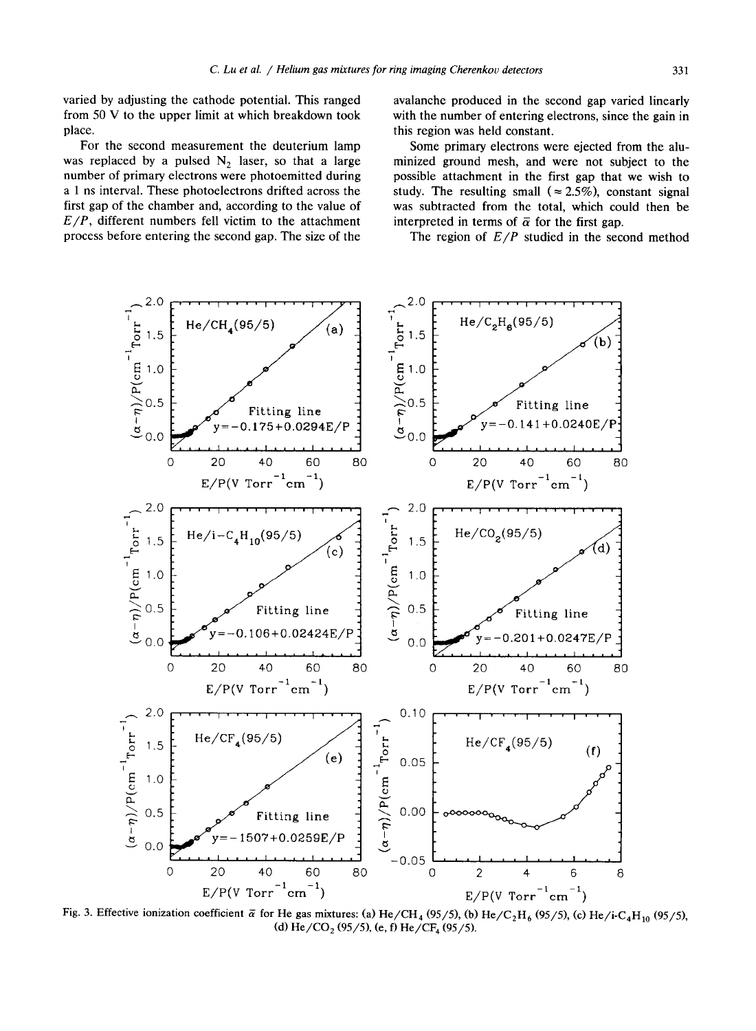varied by adjusting the cathode potential. This ranged from <sup>50</sup> V to the upper limit at which breakdown took place.

For the second measurement the deuterium lamp was replaced by a pulsed  $N_2$  laser, so that a large number of primary electrons were photoemitted during a 1 ns interval. These photoelectrons drifted across the first gap of the chamber and, according to the value of  $E/P$ , different numbers fell victim to the attachment process before entering the second gap. The size of the

avalanche produced in the second gap varied linearly with the number of entering electrons, since the gain in this region was held constant.

Some primary electrons were ejected from the aluminized ground mesh, and were not subject to the possible attachment in the first gap that we wish to study. The resulting small ( $\approx 2.5\%$ ), constant signal was subtracted from the total, which could then be interpreted in terms of  $\bar{\alpha}$  for the first gap.

The region of  $E/P$  studied in the second method



Fig. 3. Effective ionization coefficient  $\bar{\alpha}$  for He gas mixtures: (a) He/CH<sub>4</sub> (95/5), (b) He/C<sub>2</sub>H<sub>6</sub> (95/5), (c) He/i-C<sub>4</sub>H<sub>10</sub> (95/5), (d) He/CO<sub>2</sub> (95/5), (e, f) He/CF<sub>4</sub> (95/5).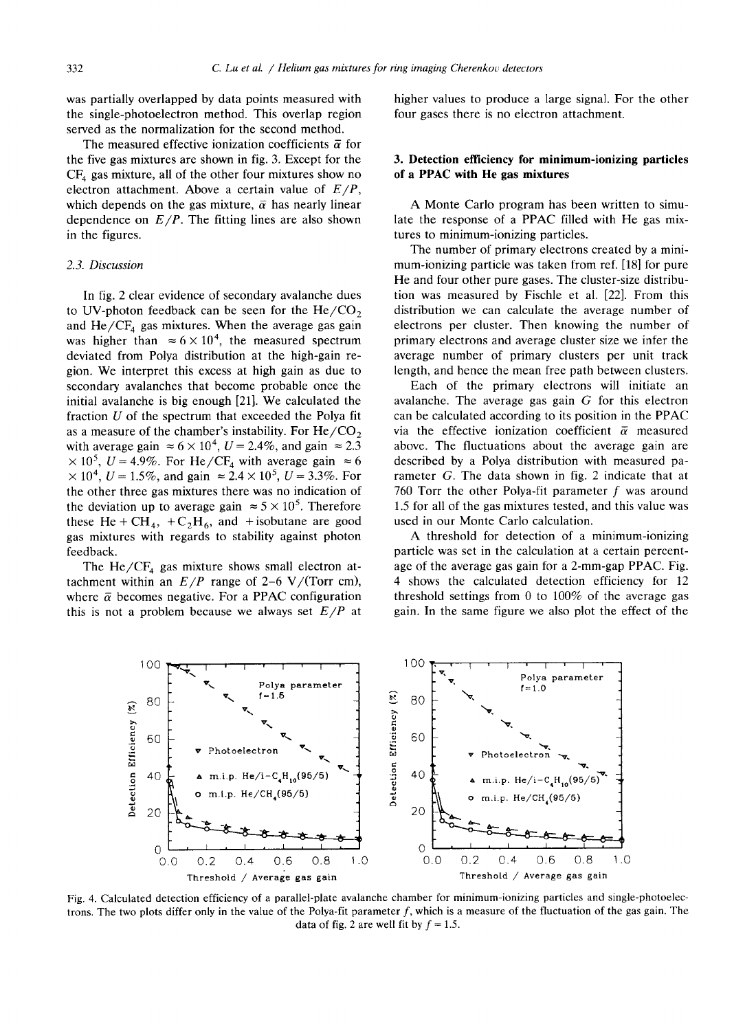was partially overlapped by data points measured with the single-photoelectron method. This overlap region served as the normalization for the second method.

The measured effective ionization coefficients  $\bar{\alpha}$  for the five gas mixtures are shown in fig. 3. Except for the  $CF<sub>4</sub>$  gas mixture, all of the other four mixtures show no electron attachment. Above a certain value of  $E/P$ , which depends on the gas mixture,  $\bar{\alpha}$  has nearly linear dependence on  $E/P$ . The fitting lines are also shown in the figures.

## 2.3. Discussion

In fig. 2 clear evidence of secondary avalanche dues to UV-photon feedback can be seen for the  $He/CO<sub>2</sub>$ and  $He/CF<sub>4</sub>$  gas mixtures. When the average gas gain was higher than  $\approx 6 \times 10^4$ , the measured spectrum deviated from Polya distribution at the high-gain region . We interpret this excess at high gain as due to secondary avalanches that become probable once the initial avalanche is big enough [21]. We calculated the fraction  $U$  of the spectrum that exceeded the Polya fit as a measure of the chamber's instability. For  $He/CO<sub>2</sub>$ with average gain  $\approx 6 \times 10^4$ ,  $U = 2.4\%$ , and gain  $\approx 2.3$  $\times 10^5$ ,  $U = 4.9\%$ . For He/CF<sub>4</sub> with average gain  $\approx 6$  $\times 10^4$ ,  $U = 1.5\%$ , and gain  $\approx 2.4 \times 10^5$ ,  $U = 3.3\%$ . For the other three gas mixtures there was no indication of the deviation up to average gain  $\approx 5 \times 10^5$ . Therefore these He + CH<sub>4</sub>, + C<sub>2</sub>H<sub>6</sub>, and +isobutane are good gas mixtures with regards to stability against photon feedback.

The  $He/CF_4$  gas mixture shows small electron attachment within an  $E/P$  range of 2–6 V/(Torr cm), where  $\bar{\alpha}$  becomes negative. For a PPAC configuration this is not a problem because we always set  $E/P$  at higher values to produce a large signal. For the other four gases there is no electron attachment.

## 3. Detection efficiency for minimum-ionizing particles of a PPAC with He gas mixtures

A Monte Carlo program has been written to simulate the response of <sup>a</sup> PPAC filled with He gas mixtures to minimum-ionizing particles.

The number of primary electrons created by a minimum-ionizing particle was taken from ref. [18] for pure He and four other pure gases. The cluster-size distribution was measured by Fischle et al. [22]. From this distribution we can calculate the average number of electrons per cluster. Then knowing the number of primary electrons and average cluster size we infer the average number of primary clusters per unit track length, and hence the mean free path between clusters.

Each of the primary electrons will initiate an avalanche. The average gas gain  $G$  for this electron can be calculated according to its position in the PPAC via the effective ionization coefficient  $\bar{\alpha}$  measured above. The fluctuations about the average gain are described by a Polya distribution with measured parameter G. The data shown in fig. <sup>2</sup> indicate that at 760 Torr the other Polya-fit parameter  $f$  was around 1 .5 for all of the gas mixtures tested, and this value was used in our Monte Carlo calculation.

A threshold for detection of <sup>a</sup> minimum-ionizing particle was set in the calculation at <sup>a</sup> certain percentage of the average gas gain for a 2-mm-gap PPAC. Fig. 4 shows the calculated detection efficiency for <sup>12</sup> threshold settings from 0 to 100% of the average gas gain . In the same figure we also plot the effect of the



Fig. 4. Calculated detection efficiency of a parallel-plate avalanche chamber for minimum-ionizing particles and single-photoelec trons. The two plots differ only in the value of the Polya-fit parameter  $f$ , which is a measure of the fluctuation of the gas gain. The data of fig. 2 are well fit by  $f = 1.5$ .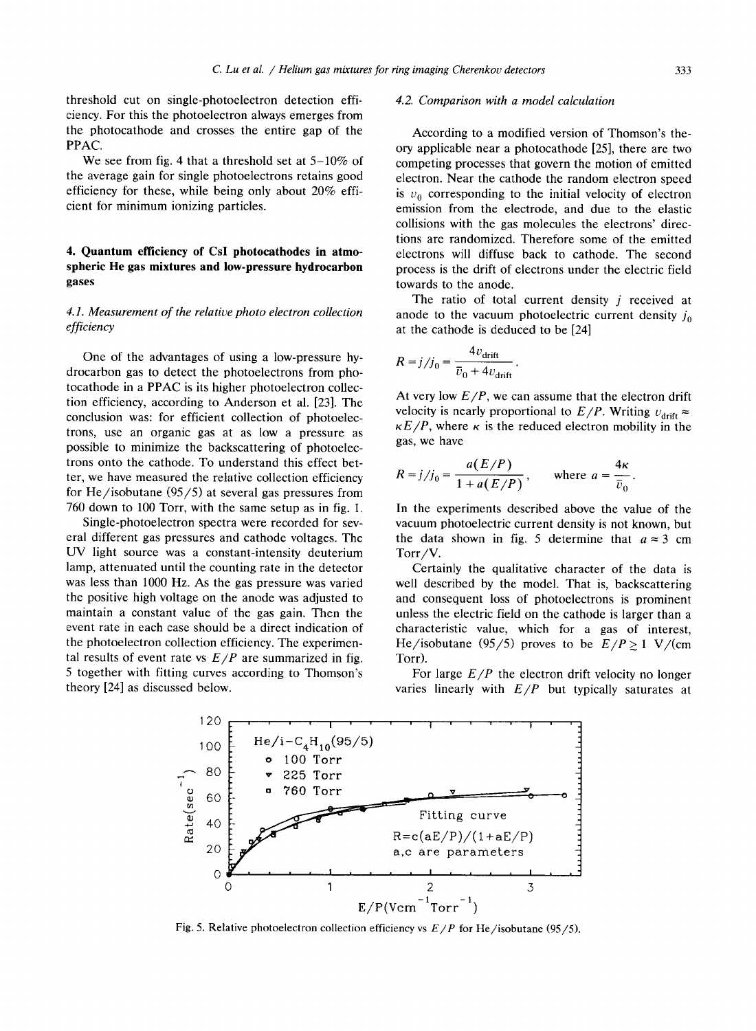threshold cut on single-photoelectron detection efficiency . For this the photoelectron always emerges from the photocathode and crosses the entire gap of the PPAC.

We see from fig. 4 that a threshold set at  $5-10\%$  of the average gain for single photoelectrons retains good efficiency for these, while being only about 20% efficient for minimum ionizing particles .

# 4. Quantum efficiency of CsI photocathodes in atmospheric He gas mixtures and low-pressure hydrocarbon gases

# 4.1. Measurement of the relative photo electron collection efficiency

One of the advantages of using <sup>a</sup> low-pressure hydrocarbon gas to detect the photoelectrons from photocathode in <sup>a</sup> PPAC is its higher photoelectron collection efficiency, according to Anderson et al. [23]. The conclusion was: for efficient collection of photoelectrons, use an organic gas at as low a pressure as possible to minimize the backscattering of photoelectrons onto the cathode. To understand this effect better, we have measured the relative collection efficiency for He/isobutane (95/5) at several gas pressures from 760 down to 100 Torr, with the same setup as in fig. 1.

Single-photoelectron spectra were recorded for several different gas pressures and cathode voltages. The UV light source was <sup>a</sup> constant-intensity deuterium lamp, attenuated until the counting rate in the detector was less than 1000 Hz. As the gas pressure was varied the positive high voltage on the anode was adjusted to maintain a constant value of the gas gain. Then the event rate in each case should be a direct indication of the photoelectron collection efficiency. The experimental results of event rate vs  $E/P$  are summarized in fig. <sup>5</sup> together with fitting curves according to Thomson's theory [24] as discussed below.

### 4.2. Comparison with <sup>a</sup> model calculation

According to a modified version of Thomson's theory applicable near a photocathode [25], there are two competing processes that govern the motion of emitted electron . Near the cathode the random electron speed is  $v_0$  corresponding to the initial velocity of electron emission from the electrode, and due to the elastic collisions with the gas molecules the electrons' directions are randomized. Therefore some of the emitted electrons will diffuse back to cathode. The second process is the drift of electrons under the electric field towards to the anode.

The ratio of total current density  $j$  received at anode to the vacuum photoelectric current density  $j_0$ at the cathode is deduced to be [24]

$$
R = j/j_0 = \frac{4v_{\text{drift}}}{\overline{v}_0 + 4v_{\text{drift}}}
$$

At very low  $E/P$ , we can assume that the electron drift velocity is nearly proportional to  $E/P$ . Writing  $v_{\text{drift}} \approx$  $\kappa E/P$ , where  $\kappa$  is the reduced electron mobility in the gas, we have

$$
R = j/j_0 = \frac{a(E/P)}{1 + a(E/P)}, \quad \text{where } a = \frac{4\kappa}{\bar{v}_0}.
$$

In the experiments described above the value of the vacuum photoelectric current density is not known, but the data shown in fig. 5 determine that  $a \approx 3$  cm Torr/V.

Certainly the qualitative character of the data is well described by the model. That is, backscattering and consequent loss of photoelectrons is prominent unless the electric field on the cathode is larger than a characteristic value, which for <sup>a</sup> gas of interest, He/isobutane (95/5) proves to be  $E/P \ge 1$  V/(cm Torr).

For large  $E/P$  the electron drift velocity no longer varies linearly with  $E/P$  but typically saturates at



Fig. 5. Relative photoelectron collection efficiency vs  $E/P$  for He/isobutane (95/5).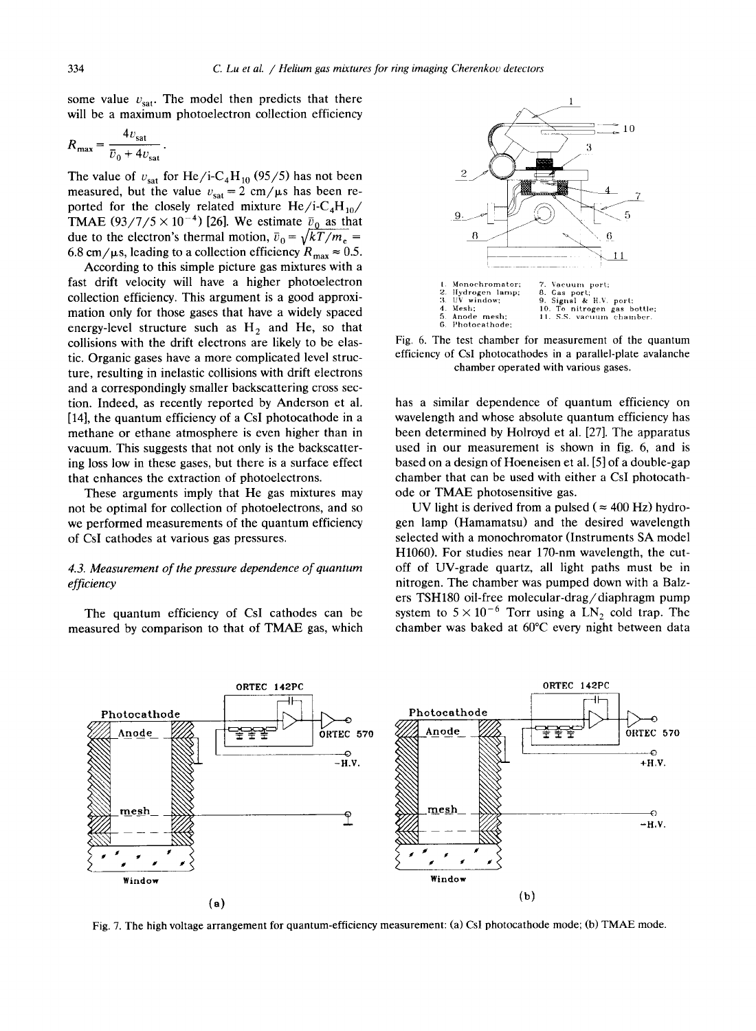some value  $v_{\text{sat}}$ . The model then predicts that there will be a maximum photoelectron collection efficiency

$$
R_{\text{max}} = \frac{4v_{\text{sat}}}{\overline{v}_0 + 4v_{\text{sat}}}.
$$

The value of  $v_{\text{sat}}$  for He/i-C<sub>4</sub>H<sub>10</sub> (95/5) has not been measured, but the value  $v_{\text{sat}} = 2 \text{ cm}/\mu s$  has been reported for the closely related mixture  $He/i-C_4H_{10}/$ TMAE (93/7/5  $\times$  10<sup>-4</sup>) [26]. We estimate  $\bar{v}_0$  as that due to the electron's thermal motion,  $\bar{v}_0 = \sqrt{kT/m_e}$  = 6.8 cm/ $\mu$ s, leading to a collection efficiency  $R_{\text{max}} \approx 0.5$ .

According to this simple picture gas mixtures with a fast drift velocity will have a higher photoelectron collection efficiency. This argument is a good approximation only for those gases that have a widely spaced energy-level structure such as  $H_2$  and He, so that collisions with the drift electrons are likely to be elastic. Organic gases have a more complicated level structure, resulting in inelastic collisions with drift electrons and a correspondingly smaller backscattering cross section. Indeed, as recently reported by Anderson et al. [14], the quantum efficiency of a CsI photocathode in a methane or ethane atmosphere is even higher than in vacuum. This suggests that not only is the backscattering loss low in these gases, but there is a surface effect that enhances the extraction of photoelectrons .

These arguments imply that He gas mixtures may not be optimal for collection of photoelectrons, and so we performed measurements of the quantum efficiency of CsI cathodes at various gas pressures.

# 4.3. Measurement of the pressure dependence of quantum efficiency

The quantum efficiency of CsI cathodes can be measured by comparison to that of TMAE gas, which





has a similar dependence of quantum efficiency on wavelength and whose absolute quantum efficiency has been determined by Holroyd et al. [27]. The apparatus used in our measurement is shown in fig. 6, and is based on a design of Hoeneisen et al. [5] of a double-gap chamber that can be used with either a CsI photocathode or TMAE photosensitive gas.

UV light is derived from a pulsed ( $\approx$  400 Hz) hydrogen lamp (Hamamatsu) and the desired wavelength selected with a monochromator (Instruments SA model H1060). For studies near 170-nm wavelength, the cutoff of UV-grade quartz, all light paths must be in nitrogen. The chamber was pumped down with a Balzers TSH180 oil-free molecular-drag/diaphragm pump system to  $5 \times 10^{-6}$  Torr using a LN<sub>2</sub> cold trap. The chamber was baked at 60°C every night between data



Fig. 7. The high voltage arrangement for quantum-efficiency measurement: (a) CsI photocathode mode; (b) TMAE mode.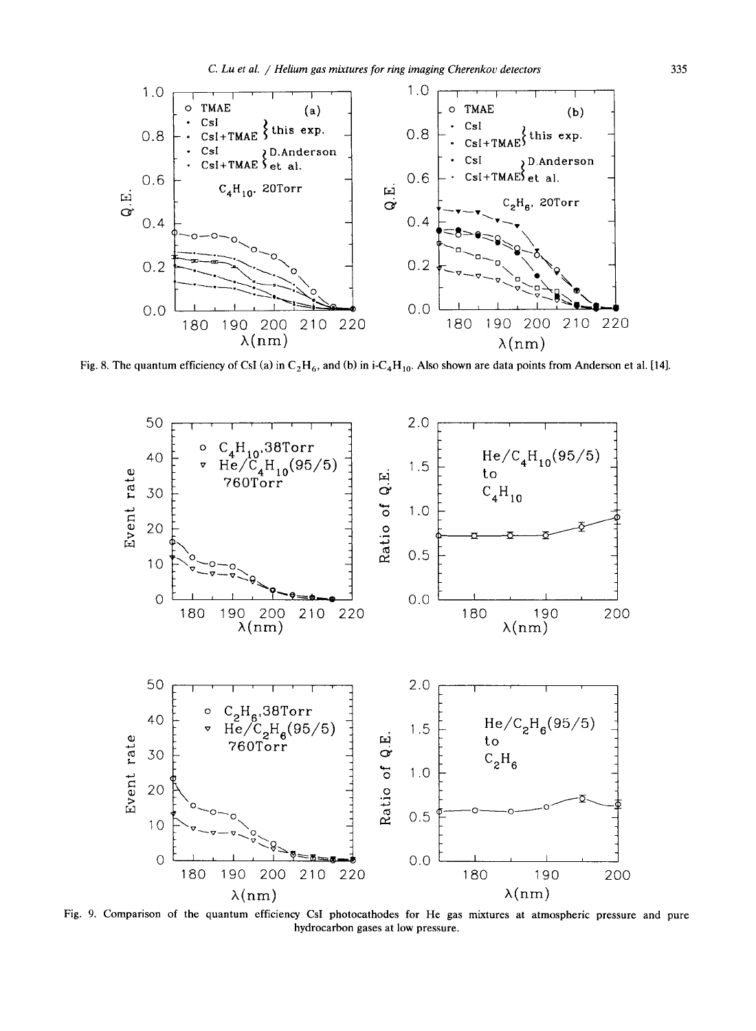

Fig. 8. The quantum efficiency of CsI (a) in  $C_2H_6$ , and (b) in i-C<sub>4</sub>H<sub>10</sub>. Also shown are data points from Anderson et al. [14].



hydrocarbon gases at low pressure. Fig. 9. Comparison of the quantum efficiency CsI photocathodes for He gas mixtures at atmospheric pressure and pure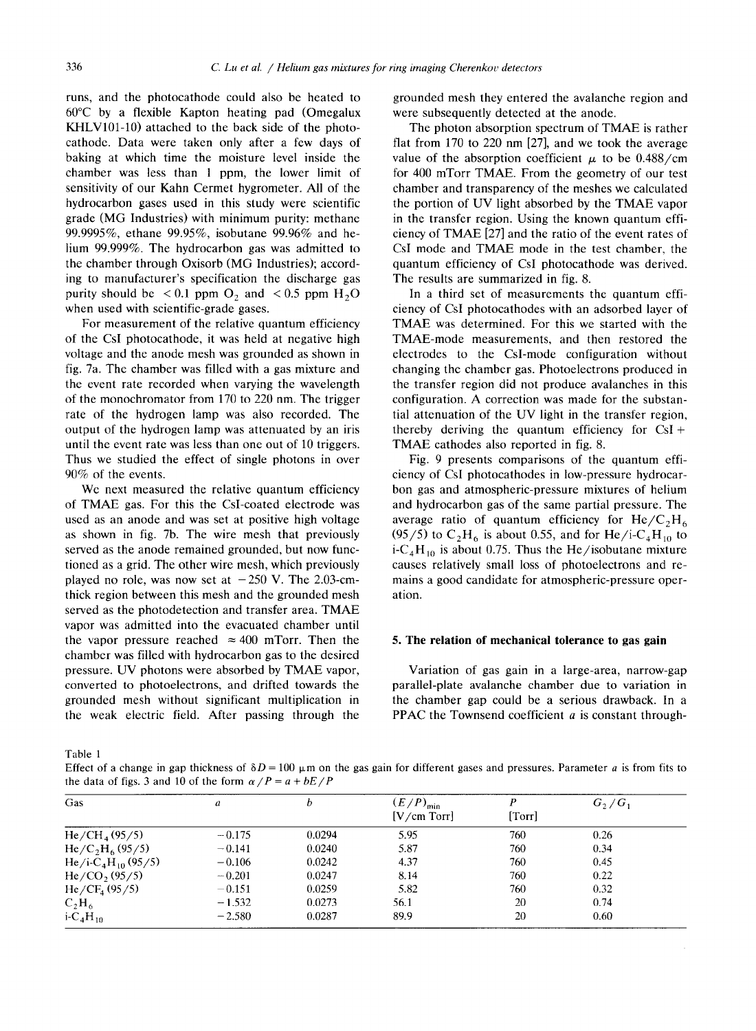runs, and the photocathode could also be heated to 60°C by a flexible Kapton heating pad (Omegalux KHLV101-10) attached to the back side of the photocathode. Data were taken only after a few days of baking at which time the moisture level inside the chamber was less than 1 ppm, the lower limit of sensitivity of our Kahn Cermet hygrometer. All of the hydrocarbon gases used in this study were scientific grade (MG Industries) with minimum purity: methane 99.9995%, ethane 99.95%, isobutane 99 .96% and helium 99 .999%. The hydrocarbon gas was admitted to the chamber through Oxisorb (MG Industries); according to manufacturer's specification the discharge gas purity should be  $\leq 0.1$  ppm O<sub>2</sub> and  $\leq 0.5$  ppm H<sub>2</sub>O when used with scientific-grade gases.

For measurement of the relative quantum efficiency of the CsI photocathode, it was held at negative high voltage and the anode mesh was grounded as shown in fig. 7a. The chamber was filled with a gas mixture and the event rate recorded when varying the wavelength of the monochromator from 170 to 220 nm. The trigger rate of the hydrogen lamp was also recorded. The output of the hydrogen lamp was attenuated by an iris until the event rate was less than one out of 10 triggers. Thus we studied the effect of single photons in over 90% of the events.

We next measured the relative quantum efficiency of TMAE gas. For this the CsI-coated electrode was used as an anode and was set at positive high voltage as shown in fig. 7b. The wire mesh that previously served as the anode remained grounded, but now functioned as a grid. The other wire mesh, which previously played no role, was now set at  $-250$  V. The 2.03-cmthick region between this mesh and the grounded mesh served as the photodetection and transfer area. TMAE vapor was admitted into the evacuated chamber until the vapor pressure reached  $\approx 400$  mTorr. Then the chamber was filled with hydrocarbon gas to the desired pressure. UV photons were absorbed by TMAE vapor, converted to photoelectrons, and drifted towards the grounded mesh without significant multiplication in the weak electric field. After passing through the

grounded mesh they entered the avalanche region and were subsequently detected at the anode.

The photon absorption spectrum of TMAE is rather flat from 170 to 220 nm [27], and we took the average value of the absorption coefficient  $\mu$  to be 0.488/cm for <sup>400</sup> mTorr TMAE. From the geometry of our test chamber and transparency of the meshes we calculated the portion of UV light absorbed by the TMAE vapor in the transfer region. Using the known quantum efficiency of TMAE [27] and the ratio of the event rates of CsI mode and TMAE mode in the test chamber, the quantum efficiency of CsI photocathode was derived. The results are summarized in fig. 8.

In a third set of measurements the quantum efficiency of CsI photocathodes with an adsorbed layer of TMAE was determined. For this we started with the TMAE-mode measurements, and then restored the electrodes to the Csl-mode configuration without changing the chamber gas. Photoelectrons produced in the transfer region did not produce avalanches in this configuration. A correction was made for the substantial attenuation of the UV light in the transfer region, thereby deriving the quantum efficiency for  $CsI +$ TMAE cathodes also reported in fig. 8.

Fig. 9 presents comparisons of the quantum efficiency of CsI photocathodes in low-pressure hydrocarbon gas and atmospheric-pressure mixtures of helium and hydrocarbon gas of the same partial pressure. The average ratio of quantum efficiency for  $\text{He/C}_2\text{H}_6$ (95/5) to  $C_2H_6$  is about 0.55, and for He/i-C<sub>4</sub>H<sub>10</sub> to i-C<sub>4</sub>H<sub>10</sub> is about 0.75. Thus the He/isobutane mixture causes relatively small loss of photoelectrons and remains a good candidate for atmospheric-pressure operation.

## 5. The relation of mechanical tolerance to gas gain

Variation of gas gain in a large-area, narrow-gap parallel-plate avalanche chamber due to variation in the chamber gap could be a serious drawback . In a PPAC the Townsend coefficient  $a$  is constant through-

Table <sup>1</sup>

Effect of a change in gap thickness of  $\delta D = 100 \mu m$  on the gas gain for different gases and pressures. Parameter a is from fits to the data of figs. 3 and 10 of the form  $\alpha/P = a + bE/P$ 

| Gas                                        | a        | D      | $(E/P)_{min}$<br>[V/cm Torr] | [Torr] | $G_2/G_1$ |
|--------------------------------------------|----------|--------|------------------------------|--------|-----------|
| $He/CH_4(95/5)$                            | $-0.175$ | 0.0294 | 5.95                         | 760    | 0.26      |
| $He/C_2H_6(95/5)$                          | $-0.141$ | 0.0240 | 5.87                         | 760    | 0.34      |
| He/i-C <sub>4</sub> H <sub>10</sub> (95/5) | $-0.106$ | 0.0242 | 4.37                         | 760    | 0.45      |
| $He/CO$ , $(95/5)$                         | $-0.201$ | 0.0247 | 8.14                         | 760    | 0.22      |
| He/CF <sub>4</sub> (95/5)                  | $-0.151$ | 0.0259 | 5.82                         | 760    | 0.32      |
| $C_2H_6$                                   | $-1.532$ | 0.0273 | 56.1                         | 20     | 0.74      |
| $i$ -C <sub>4</sub> H <sub>10</sub>        | $-2.580$ | 0.0287 | 89.9                         | 20     | 0.60      |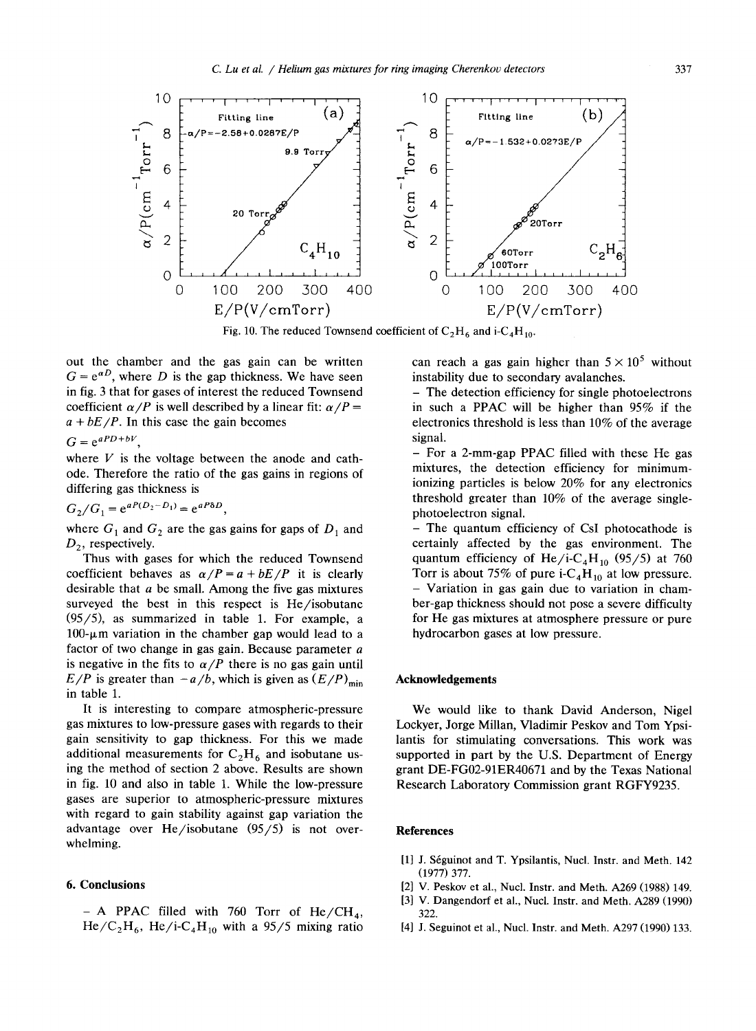

Fig. 10. The reduced Townsend coefficient of  $C_2H_6$  and i- $C_4H_{10}$ .

out the chamber and the gas gain can be written  $G = e^{\alpha D}$ , where D is the gap thickness. We have seen in fig. 3 that for gases of interest the reduced Townsend coefficient  $\alpha/P$  is well described by a linear fit:  $\alpha/P =$  $a + bE/P$ . In this case the gain becomes

 $G = e^{aPD+bV}$ 

where  $V$  is the voltage between the anode and cathode. Therefore the ratio of the gas gains in regions of differing gas thickness is

$$
G_2/G_1 = e^{aP(D_2 - D_1)} = e^{aP\delta D}
$$

where  $G_1$  and  $G_2$  are the gas gains for gaps of  $D_1$  and  $D_2$ , respectively.

Thus with gases for which the reduced Townsend coefficient behaves as  $\alpha/P = a + bE/P$  it is clearly desirable that  $a$  be small. Among the five gas mixtures surveyed the best in this respect is He/isobutane  $(95/5)$ , as summarized in table 1. For example, a  $100-\mu$ m variation in the chamber gap would lead to a factor of two change in gas gain. Because parameter a is negative in the fits to  $\alpha/P$  there is no gas gain until  $E/P$  is greater than  $-a/b$ , which is given as  $(E/P)_{\text{min}}$ in table 1.

It is interesting to compare atmospheric-pressure gas mixtures to low-pressure gases with regards to their gain sensitivity to gap thickness . For this we made additional measurements for  $C_2H_6$  and isobutane using the method of section 2 above. Results are shown in fig. 10 and also in table 1. While the low-pressure gases are superior to atmospheric-pressure mixtures with regard to gain stability against gap variation the advantage over He/isobutane (95/5) is not overwhelming.

### 6. Conclusions

- A PPAC filled with 760 Torr of  $He/CH<sub>4</sub>$ ,  $He/C<sub>2</sub>H<sub>6</sub>$ , He/i-C<sub>4</sub>H<sub>10</sub> with a 95/5 mixing ratio can reach a gas gain higher than  $5 \times 10^5$  without instability due to secondary avalanches.

- The detection efficiency for single photoelectrons in such <sup>a</sup> PPAC will be higher than 95% if the electronics threshold is less than 10% of the average signal.

- For <sup>a</sup> 2-mm-gap PPAC filled with these He gas mixtures, the detection efficiency for minimumionizing particles is below 20% for any electronics threshold greater than 10% of the average singlephotoelectron signal.

- The quantum efficiency of CsI photocathode is certainly affected by the gas environment. The quantum efficiency of He/i-C<sub>4</sub>H<sub>10</sub> (95/5) at 760 Torr is about 75% of pure i- $C_4H_{10}$  at low pressure. - Variation in gas gain due to variation in chamber-gap thickness should not pose a severe difficulty for He gas mixtures at atmosphere pressure or pure hydrocarbon gases at low pressure.

## Acknowledgements

We would like to thank David Anderson, Nigel Lockyer, Jorge Millan, Vladimir Peskov and Tom Ypsilantis for stimulating conversations. This work was supported in part by the U.S. Department of Energy grant DE-FG02-91ER40671 and by the Texas National Research Laboratory Commission grant RGFY9235.

#### References

- [1] J. Séguinot and T. Ypsilantis, Nucl. Instr. and Meth. 142 (1977) 377 .
- [2] V. Peskov et al., Nucl. Instr. and Meth. A269 (1988) 149.
- [3] V. Dangendorf et al., Nucl. Instr. and Meth. A289 (1990) 322.
- [4] J. Seguinot et al., Nucl. Instr. and Meth. A297 (1990) 133.